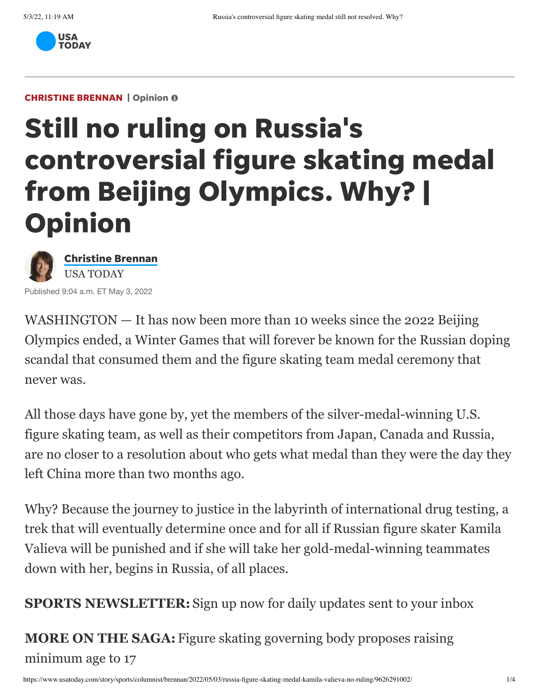

## **CHRISTINE BRENNAN** | Opinion

## Still no ruling on Russia's controversial figure skating medal from Beijing Olympics. Why? | **Opinion**



Published 9:04 a.m. ET May 3, 2022

WASHINGTON — It has now been more than 10 weeks since the 2022 Beijing [Olympics ended, a Winter Games that will forever be known for the Russian doping](https://www.usatoday.com/story/sports/columnist/nancy-armour/2022/02/10/russia-latest-doping-scandal-kamila-valieva-ioc-sochi/6733052001/) scandal that consumed them and the [figure skating team medal ceremony](https://www.usatoday.com/story/sports/olympics/beijing/2022/02/09/olympic-figure-skating-team-medals-delayed-russian-drug-test/6717526001/) that never was.

All those days have gone by, yet the members of the silver-medal-winning U.S. figure skating team, as well as their competitors from Japan, Canada and Russia, are no closer to a resolution about who gets what medal than they were the day they left China more than two months ago.

Why? Because the journey to justice in the labyrinth of international drug testing, a trek that will eventually determine once and for all if Russian figure skater Kamila Valieva will be punished and if she will take her gold-medal-winning teammates down with her, begins in Russia, of all places.

**SPORTS NEWSLETTER:** [Sign up now for daily updates sent to your inbox](https://profile.usatoday.com/newsletters/sports/)

**MORE ON THE SAGA:** [Figure skating governing body proposes raising](https://www.usatoday.com/story/sports/olympics/2022/05/02/kamila-valieva-saga-could-lead-figure-skating-raise-minimum-age/9619927002/) minimum age to 17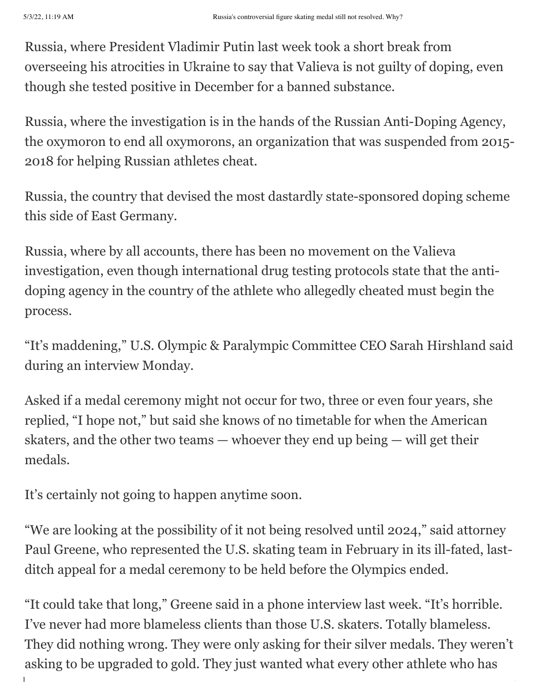Russia, where President Vladimir Putin last week took a short break from overseeing his atrocities in Ukraine to say that Valieva is not guilty of doping, even though she tested positive in December for a banned substance.

Russia, where the investigation is in the hands of the Russian Anti-Doping Agency, the oxymoron to end all oxymorons, an organization that was suspended from 2015- 2018 for helping Russian athletes cheat.

Russia, the country that devised the most dastardly state-sponsored doping scheme this side of East Germany.

Russia, where by all accounts, there has been no movement on the Valieva investigation, even though international drug testing protocols state that the antidoping agency in the country of the athlete who allegedly cheated must begin the process.

"It's maddening," U.S. Olympic & Paralympic Committee CEO Sarah Hirshland said during an interview Monday.

Asked if a medal ceremony might not occur for two, three or even four years, she replied, "I hope not," but said she knows of no timetable for when the American skaters, and the other two teams — whoever they end up being — will get their medals.

It's certainly not going to happen anytime soon.

"We are looking at the possibility of it not being resolved until 2024," said attorney Paul Greene, who represented the U.S. skating team in February in its ill-fated, lastditch appeal for a medal ceremony to be held before the Olympics ended.

https://www.usatoday.com/sports/columnist/brennan-2022/05/03/russia-figure-skating-medal-kamila-kamila-valieva-"It could take that long," Greene said in a phone interview last week. "It's horrible. I've never had more blameless clients than those U.S. skaters. Totally blameless. They did nothing wrong. They were only asking for their silver medals. They weren't asking to be upgraded to gold. They just wanted what every other athlete who has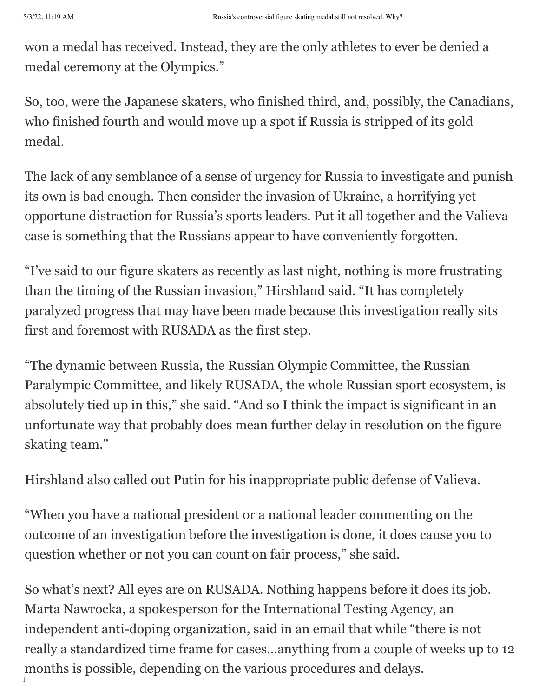won a medal has received. Instead, they are the only athletes to ever be denied a medal ceremony at the Olympics."

So, too, were the Japanese skaters, who finished third, and, possibly, the Canadians, who finished fourth and would move up a spot if Russia is stripped of its gold medal.

The lack of any semblance of a sense of urgency for Russia to investigate and punish its own is bad enough. Then consider the invasion of Ukraine, a horrifying yet opportune distraction for Russia's sports leaders. Put it all together and the Valieva case is something that the Russians appear to have conveniently forgotten.

"I've said to our figure skaters as recently as last night, nothing is more frustrating than the timing of the Russian invasion," Hirshland said. "It has completely paralyzed progress that may have been made because this investigation really sits first and foremost with RUSADA as the first step.

"The dynamic between Russia, the Russian Olympic Committee, the Russian Paralympic Committee, and likely RUSADA, the whole Russian sport ecosystem, is absolutely tied up in this," she said. "And so I think the impact is significant in an unfortunate way that probably does mean further delay in resolution on the figure skating team."

Hirshland also called out Putin for his inappropriate public defense of Valieva.

"When you have a national president or a national leader commenting on the outcome of an investigation before the investigation is done, it does cause you to question whether or not you can count on fair process," she said.

https://www.usatoday.com/sports/columnist/brennan-2022/05/03/russia-figure-skating-medal-kamila-kamila-valieva-So what's next? All eyes are on RUSADA. Nothing happens before it does its job. Marta Nawrocka, a spokesperson for the International Testing Agency, an independent anti-doping organization, said in an email that while "there is not really a standardized time frame for cases…anything from a couple of weeks up to 12 months is possible, depending on the various procedures and delays.